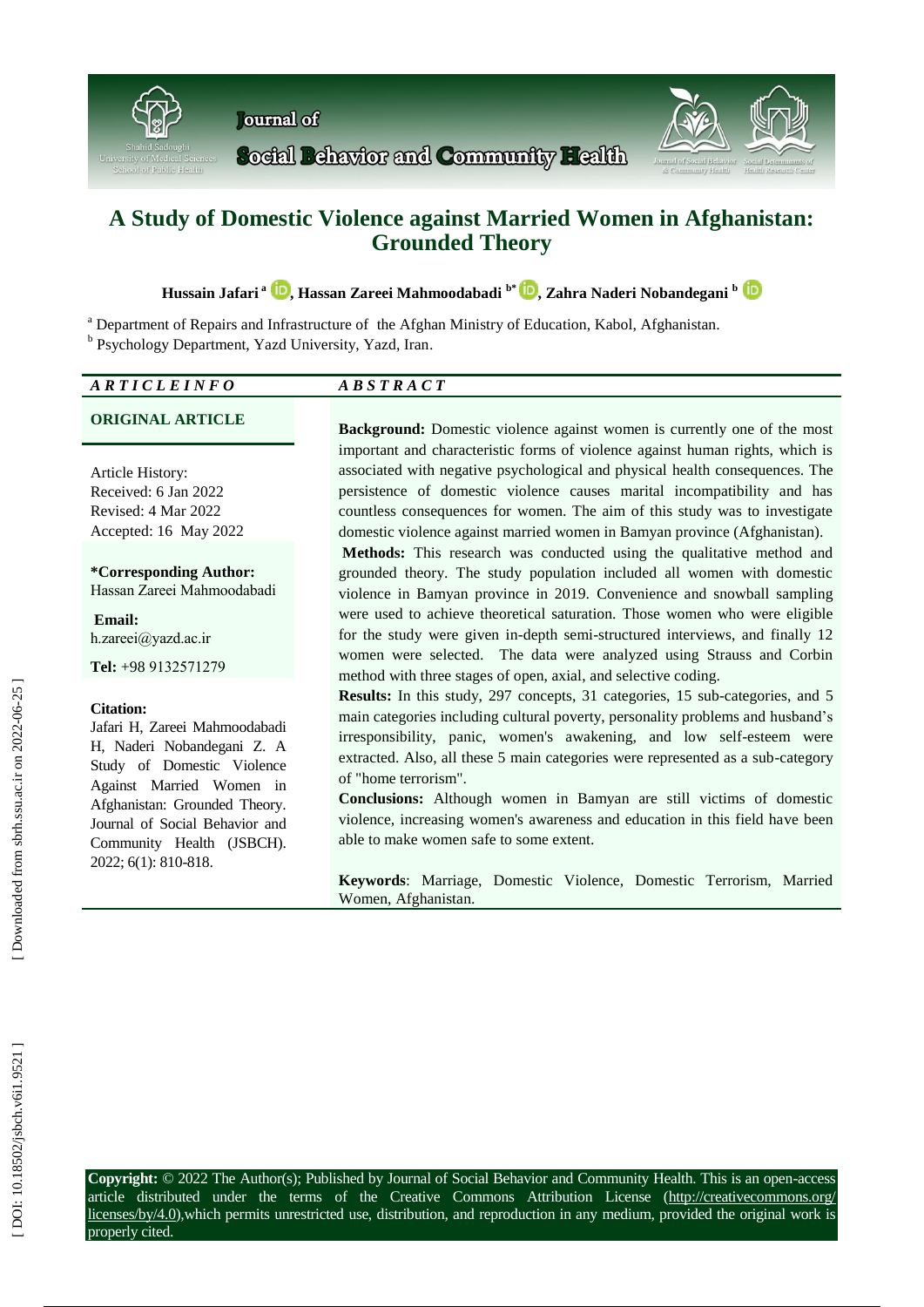

# **A Study of Domestic Violence against Married Women in Afghanistan: Grounded Theory**

**Hussain Jafari a , Hassan Zareei Mahmoodabadi b \* [,](https://orcid.org/0000-0002-6511-9788) Zahra Naderi Nobandegani b** 

<sup>a</sup> Department of Repairs and Infrastructure of the Afghan Ministry of Education, Kabol, Afghanistan.

<sup>b</sup> Psychology Department, Yazd University, Yazd, Iran.

| CLEINFO<br>$\Lambda$ D<br><br>$\overline{\phantom{a}}$ | - |
|--------------------------------------------------------|---|
|                                                        |   |

Article History: Received: 6 Jan 2022 Revised: 4 Mar 2022 Accepted: 16 May 2022

**\*Corresponding Author:** Hassan Zareei Mahmoodabadi

**Email:** h.zareei@yazd.ac.ir

**Tel:** +98 9132571279

### **Citation:**

Jafari H, Zareei Mahmoodabadi H, Naderi Nobandegani Z. A Study of Domestic Violence Against Married Women in Afghanistan: Grounded Theory. Journal of Social Behavior and Community Health (JSBCH). 2022; 6 ( 1): 810 -818 .

**ORIGINAL ARTICLE Background:** Domestic violence against women is currently one of the most important and characteristic forms of violence against human rights, which is associated with negative psychological and physical health consequences. The persistence of domestic violence causes marital incompatibility and has countless consequences for women. The aim of this study was to investigate domestic violence against married women in Bamyan province (Afghanistan).

> **Method s :** This research was conducted using the qualitative method and grounded theory. The study population included all women with domestic violence in Bamyan province in 2019. Convenience and snowball sampling were used to achieve theoretical saturation. Those women who were eligible for the study were given in -depth semi -structured interviews , and finally 12 women were selected. The data were analyzed using Strauss and Corbin method with three stages of open, axial , and selective coding.

> **Results:** In this study, 297 concepts, 31 categories, 15 sub-categories, and 5 main categories including cultural poverty, personality problems and husband's irresponsibility, panic, women's awakening, and low self -esteem were extracted. Also, all these 5 main categories were represented as a sub -category of "home terrorism".

> **Conclusions:** Although women in Bamyan are still victims of domestic violence, increasing women's awareness and education in this field have been able to make women safe to some extent.

> **Keywords**: Marriage, Domestic Violence, Domestic Terrorism, Married Women, Afghanistan.

**Copyright:** © 2022 The Author(s); Published by Journal of Social Behavior and Community Health. This is an open -access article distributed under the terms of the Creative Commons Attribution License (http://creativecommons.org/ licenses/by/4.0), which permits unrestricted use, distribution, and reproduction in any medium, provided the original work is properly cited.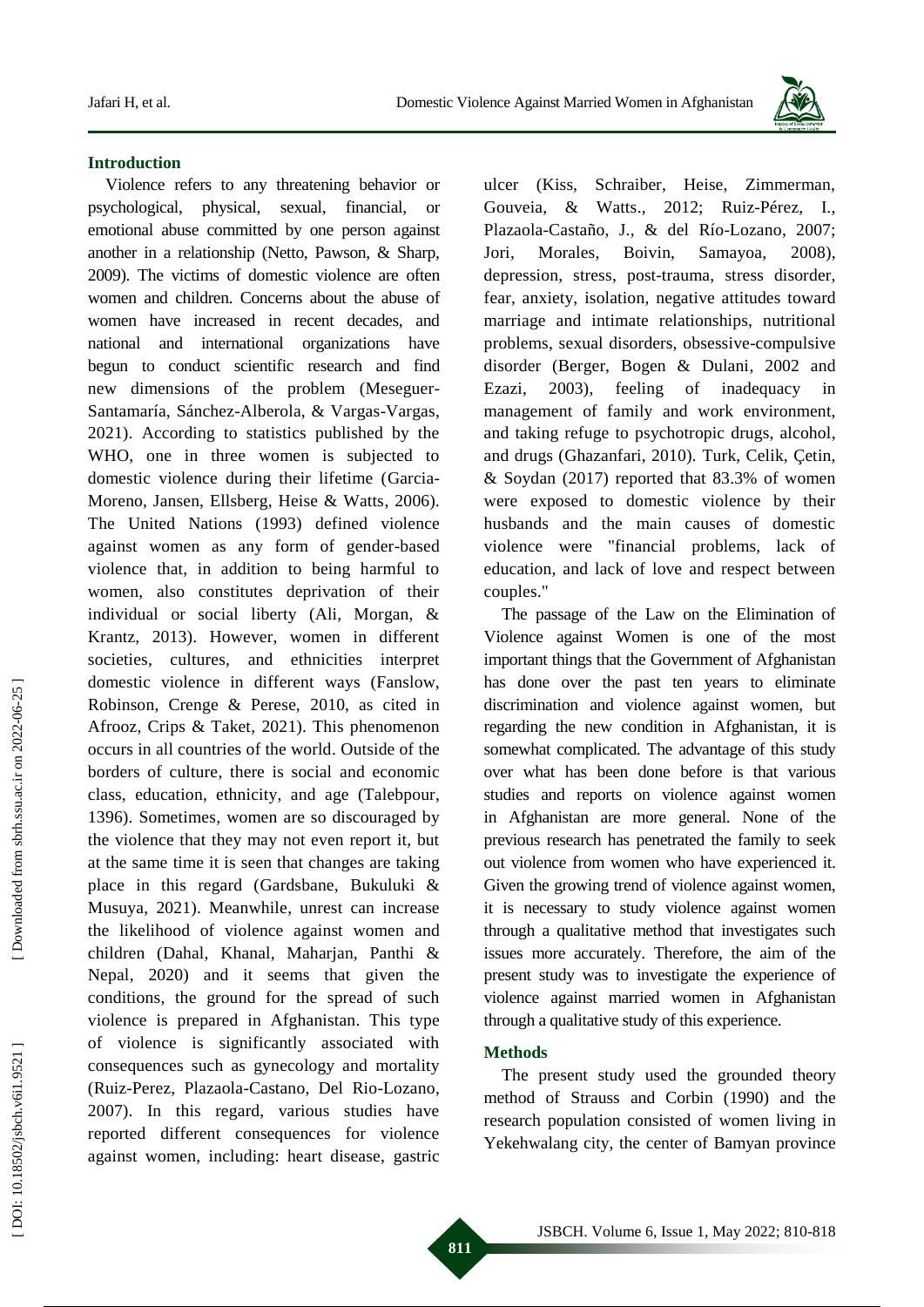

## **Introduction**

Violence refers to any threatening behavior or psychological, physical, sexual, financial, or emotional abuse committed by one person against another in a relationship (Net to, Pawson, & Sharp, 2009). The victims of domestic violence are often women and children. Concerns about the abuse of women have increased in recent decades, and national and international organizations have begun to conduct scientific research and find new dimensions of the problem (Meseguer - Santamaría, Sánchez -Alberola, & Vargas -Vargas, 2021). According to statistics published by the WHO, one in three women is subjected to domestic violence during their lifetime (Garcia - Moreno, Jansen, Ellsberg, Heise & Watts, 2006). The United Nations (1993) defined violence against women as any form of gender -based violence that, in addition to being harmful to women, also constitutes deprivation of their individual or social liberty (Ali, Morgan, & Krantz, 2013). However, women in different societies, cultures , and ethnicities interpret domestic violence in different ways (Fanslow, Robinson, Crenge & Perese, 2010, as cited in Afrooz, Crips & Taket, 2021). This phenomenon occurs in all countries of the world . Outside of the borders of culture , there is social and economic class, education, ethnicity , and age (Tal ebpour, 1396). Sometimes , women are so discouraged by the violence that they may not even report it, but at the same time it is seen that changes are taking place in this regard (Gardsbane, Bukuluki & Musuya, 2021). Meanwhile, unrest can increase the likelihood of violence against women and children (Dahal, Khanal, Maharjan, Panthi & Nepal, 2020) and it seems that given the conditions, the ground for the spread of such violence is prepared in Afghanistan. This type of violence is significantly associated with consequences such as gynecology and mortality (Ruiz-Perez, Plazaola-Castano, Del Rio-Lozano, 2007). In this regard, various studies have reported different consequences for violence against women, including: heart disease, gastric

ulcer (Kiss, Schraiber, Heise, Zimmerman, Gouveia, & Watts., 2012; Ruiz -Pérez, I., Plazaola -Castaño, J., & del Río -Lozano, 2007; Jori, Morales, Boivin, Samayoa, 2008). depression, stress, post - trauma, stress disorder, fear, anxiety, isolation, negative attitudes toward marriage and intimate relationships, nutritional problems, sexual disorders, obsessive - compulsive disorder (Berger, Bogen & Dulani, 2002 and Ezazi, 2003), feeling of inadequacy in management of family and work environment, and taking refuge to psychotropic drugs, alcohol , and drugs (Ghazanfari, 2010). Turk, Celik, Çetin, & Soydan (2017) reported that 83.3% of women were exposed to domestic violence by their husbands and the main causes of domestic violence were "financial problems, lack of education, and lack of love and respect between couples."

The passage of the Law on the Elimination of Violence against Women is one of the most important things that the Government of Afghanistan has done over the past ten years to eliminate discrimination and violence against women , but regarding the new condition in Afghanistan , it is somewhat complicated. The advantage of this study over what has been done before is that various studies and reports on violence against women in Afghanistan are more general. None of the previous research has penetrated the family to seek out violence from women who have experienced it. Given the growing trend of violence against women, it is necessary to study violence against women through a qualitative method that investigates such issues more accurately. Therefore, the aim of the present study was to investigate the experience of violence against married women in Afghanistan through a qualitative study of this experience.

## **Method s**

The present study used the grounded theory method of Strauss and Corbin (1990) and the research population consisted of women living in Yekehwalang city, the center of Bamyan province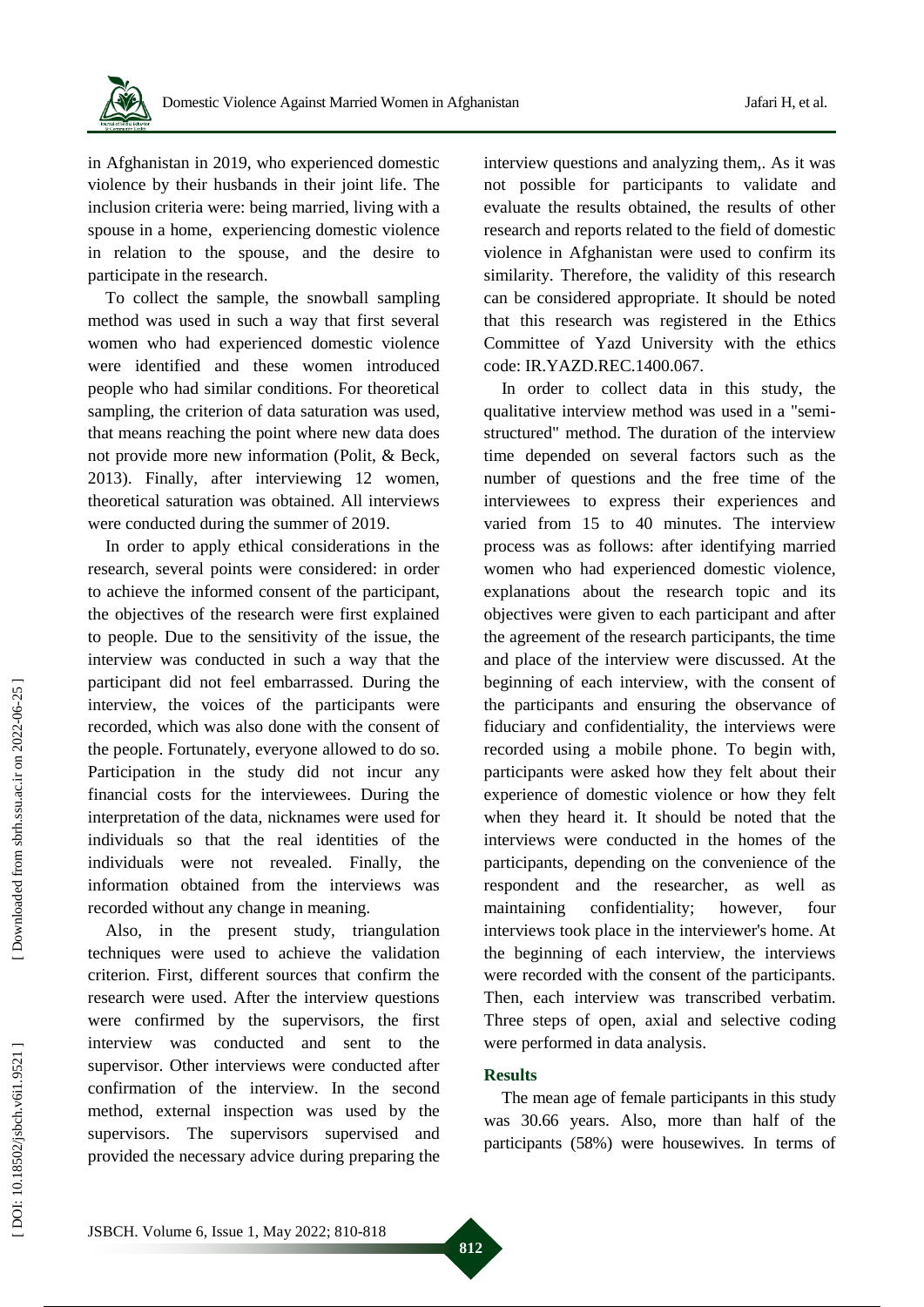

in Afghanistan in 2019, who experienced domestic violence by their husbands in their joint life. The inclusion criteria were: being married, living with a spouse in a home , experiencing domestic violence in relation to the spouse , and the desire to participate in the research.

To collect the sample, the snowball sampling method was used in such a way that first several women who had experienced domestic violence were identified and these women introduced people who had similar conditions. For theoretical sampling, the criterion of data saturation was used, that mean s reaching the point where new data does not provide more new information (Polit, & Beck, 2013) . Finally, after interviewing 12 women, theoretical saturation was obtained. All interviews were conducted during the summer of 2019 .

In order to apply ethical considerations in the research, several points were considered: in order to achieve the informed consent of the participant, the objectives of the research were first explained to people . Due to the sensitivity of the issue, the interview was conducted in such a way that the participant did not feel embarrassed. During the interview, the voices of the participants were recorded, which was also done with the consent of the people . Fortunately , everyone allowed to do so. Participation in the study did not incur any financial costs for the interviewees. During the interpretation of the data, nicknames were used for individuals so that the real identities of the individuals were not revealed . Finally, the information obtained from the interviews was recorded without any change in meaning.

Also, in the present study, triangulation techniques were used to achieve the validation criterion. First, different sources that confirm the research were used. After the interview questions were confirmed by the supervisors, the first interview was conducted and sent to the supervisor. Other interviews were conducted after confirmation of the interview. In the second method, external inspection was used by the supervisors. The supervisors supervised and provided the necessary advice during preparing the

interview questions and analyzing them,. As it was not possible for participants to validate and evaluate the results obtained, the results of other research and reports related to the field of domestic violence in Afghanistan were used to confirm its similarity. Therefore, the validity of this research can be considered appropriate. It should be noted that this research was registered in the Ethics Committee of Yazd University with the ethics code : IR.YAZD.REC.1400.067.

In order to collect data in this study, the qualitative interview method was used in a "semi structured" method. The duration of the interview time depended on several factors such as the number of questions and the free time of the interviewees to express their experiences and varied from 15 to 40 minutes. The interview process was as follows: after identifying married women who had experienced domestic violence, explanations about the research topic and its objectives were given to each participant and after the agreement of the research participants, the time and place of the interview were discussed. At the beginning of each interview, with the consent of the participants and ensuring the observance of fiduciary and confidentiality, the interviews were recorded using a mobile phone. To begin with, participants were asked how they felt about their experience of domestic violence or how they felt when they heard it. It should be noted that the interviews were conducted in the homes of the participants, depending on the convenience of the respondent and the researcher, as well as maintaining confidentiality; however, four interviews took place in the interviewer's home. At the beginning of each interview, the interviews were recorded with the consent of the participants. Then, each interview was transcribed verbatim. Three steps of open, axial and selective coding were performed in data analysis .

## **Results**

The mean age of female participants in this study was 30.66 years. Also, more than half of the participants (58%) were housewives. In terms of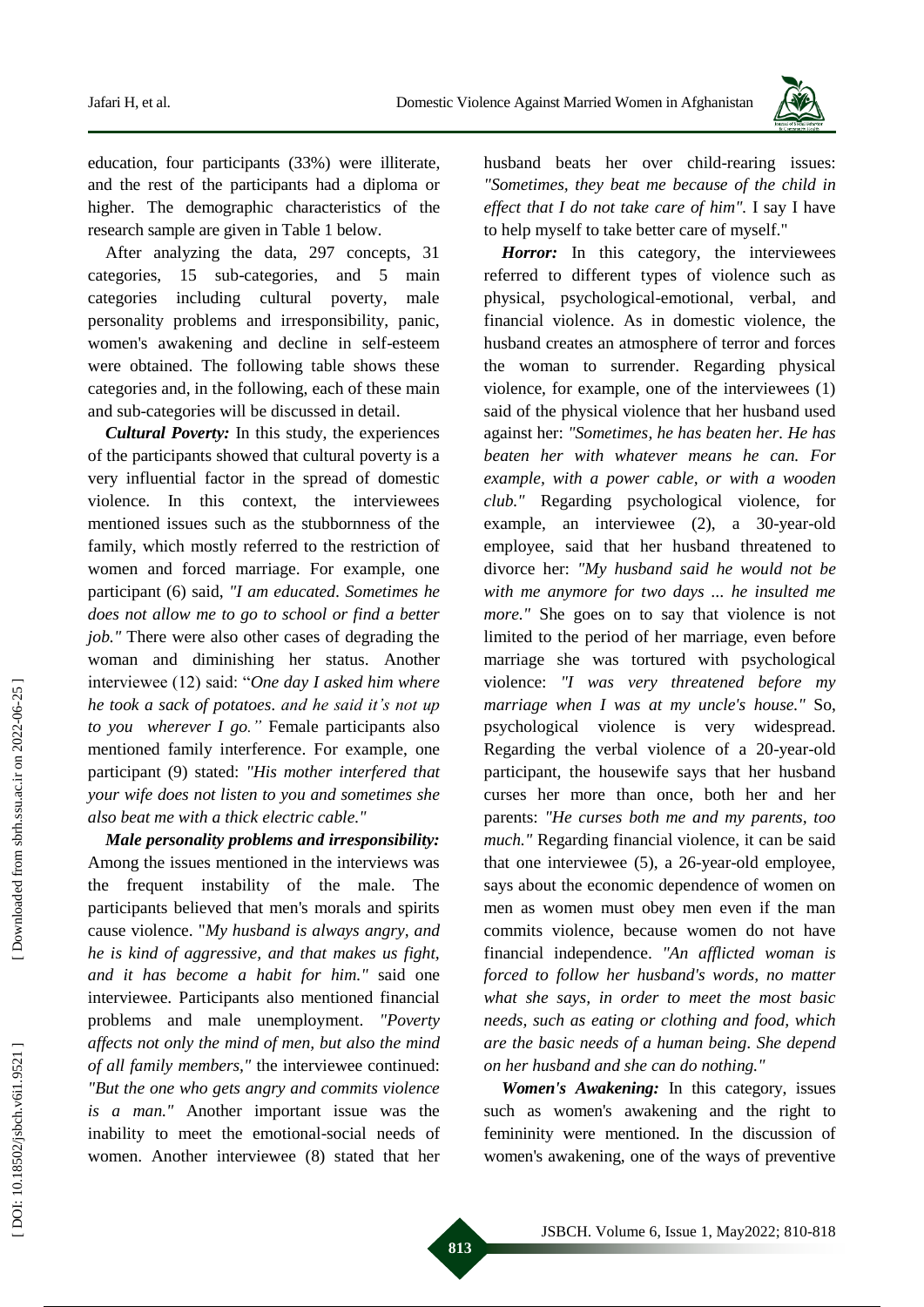

education, four participants (33%) were illiterate, and the rest of the participants had a diploma or higher. The demographic characteristics of the research sample are given in Table 1 below .

After analyzing the data, 297 concepts, 31 categories, -categories , and 5 main categories including cultural poverty, male personality problems and irresponsibility, panic, women's awakening and decline in self -esteem were obtained. The following table shows these categories and, in the following, each of these main and sub -categories will be discussed in detail.

*Cultural Poverty:* In this study, the experiences of the participants showed that cultural poverty is a very influential factor in the spread of domestic violence. In this context, the interviewees mentioned issues such as the stubbornness of the family, which mostly referred to the restriction of women and forced marriage. For example, one participant (6) said, *"I am educated . Sometimes he does not allow me to go to school or find a better job."* There were also other cases of degrading the woman and diminishing her status. Another interviewee (12) said: "*One day I asked him where he took a sack of potatoes . and he said it's not up to you wherever I go."* Female participants also mentioned family interference. For example, one participant (9) stated: *"His mother interfered that your wife does not listen to you and sometimes she also beat me with a thick electric cable."*

*Male personality problems and irresponsibility:* Among the issues mentioned in the interviews was the frequent instability of the male. The participants believed that men's morals and spirits cause violence. "*My husband is always angry, and he is kind of aggressive, and that makes us fight, and it has become a habit for him . "* said one interviewee. Participants also mentioned financial problems and male unemployment. *"Poverty affects not only the mind of men , but also the mind* of all family members," the interviewee continued: *"But the one who gets angry and commits violence is a man."* Another important issue was the inability to meet the emotional -social needs of women. Another interviewe e (8) stated that her

husband beats her over child -rearing issues: *"Sometimes , they beat me because of the child in effect that I do not take care of him".* I say I have to help myself to take better care of myself."

Horror: In this category, the interviewees referred to different types of violence such as physical, psychological -emotional, verbal , and financial violence. As in domestic violence, the husband creates an atmosphere of terror and forces the woman to surrender. Regarding physical violence, for example, one of the interviewees (1) said of the physical violence that her husband used against her: *"Sometimes , he has beaten her. He has beaten her with whatever means he can. For example, with a power cable, or with a wooden club."* Regarding psychological violence, for example, an interviewe e (2), a 30 -year -old employee, said that her husband threatened to divorce her: *"My husband said he would not be with me anymore for two days ... he insulted me more.*" She goes on to say that violence is not limited to the period of her marriage, even before marriage she was tortured with psychological violence: *"I was very threatened before my*  marriage when I was at my uncle's house." So, psychological violence is very widespread. Regarding the verbal violence of a 20 -year -old participant, the housewife says that her husband curses her more than once, both her and her parents: *"He curses both me and my parents, too much."* Regarding financial violence, it can be said that one interviewe e (5), a 26 -year -old employee , says about the economic dependence of women on men as women must obey men even if the man commits violence, because women do not have financial independence. *"An afflicted woman is forced to follow her husband's words, no matter what she says, in order to meet the most basic needs, such as eating or clothing and food, which are the basic needs of a human being . She depend on her husband and she can do nothing."*

*Women's Awakening:* In this category, issues such as women's awakening and the right to femininity were mentioned. In the discussion of women's awakening, one of the ways of preventive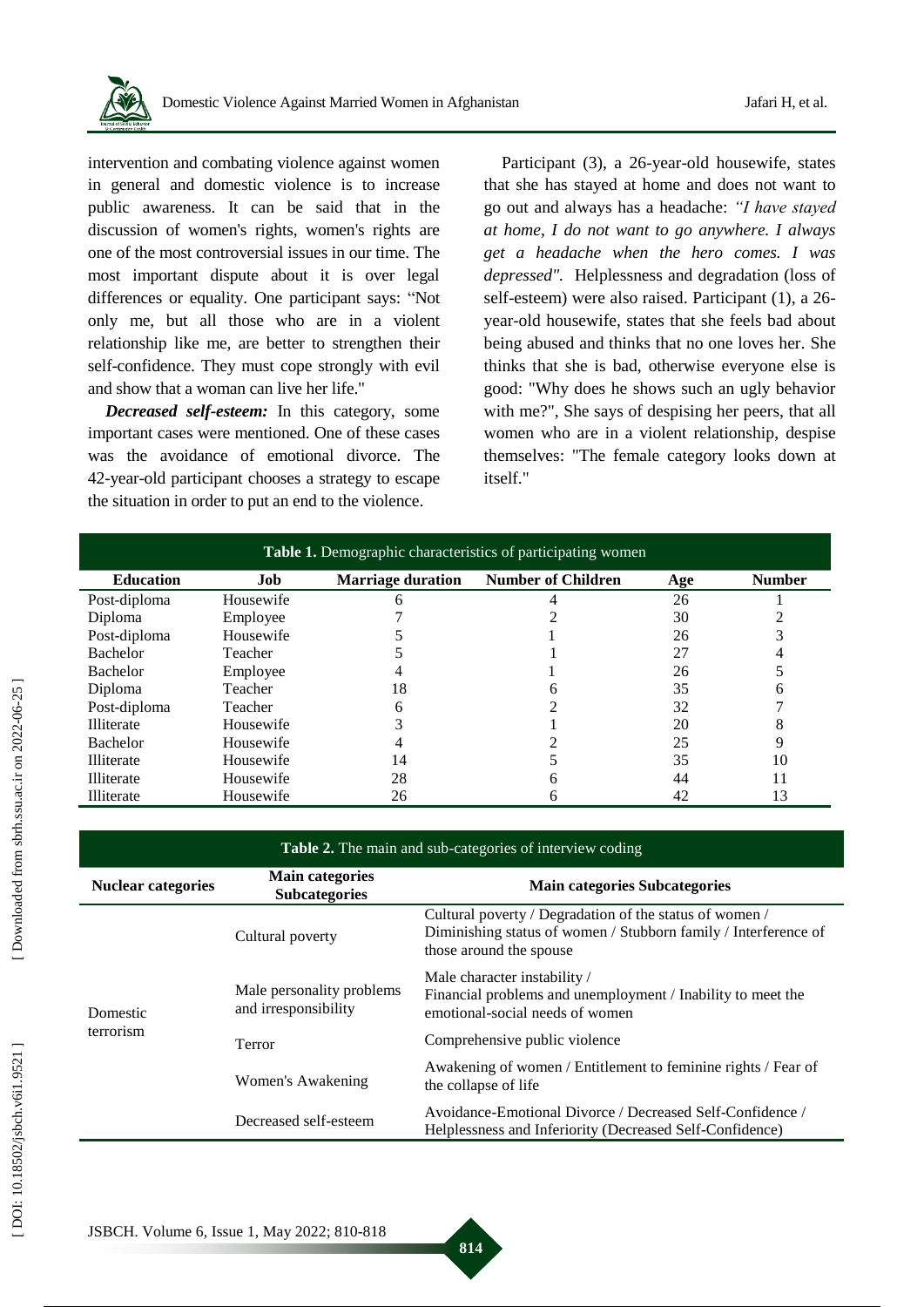

intervention and combating violence against women in general and domestic violence is to increase public awareness. It can be said that in the discussion of women's rights, women's rights are one of the most controversial issues in our time. The most important dispute about it is over legal differences or equality. One participant says: "Not only me, but all those who are in a violent relationship like me, are better to strengthen their self-confidence. They must cope strongly with evil and show that a woman can live her life."

*Decreased self-esteem:* In this category, some important cases were mentioned. One of these cases was the avoidance of emotional divorce. The 42 -year -old participant chooses a strategy to escape the situation in order to put an end to the violence.

Participant (3), a 26-year-old housewife, states that she has stayed at home and does not want to go out and always has a headache: *"I have stayed at home, I do not want to go anywhere. I always get a headache when the hero comes. I was depressed".* Helplessness and degradation (loss of self-esteem) were also raised. Participant (1), a 26year -old housewife, states that she feels bad about being abused and thinks that no one loves her. She thinks that she is bad, otherwise everyone else is good: "Why does he shows such an ugly behavior with me?", She says of despising her peers, that all women who are in a violent relationship , despise themselves: "The female category looks down at itself."

| <b>Table 1.</b> Demographic characteristics of participating women |           |                          |                           |     |               |  |  |
|--------------------------------------------------------------------|-----------|--------------------------|---------------------------|-----|---------------|--|--|
| <b>Education</b>                                                   | Job       | <b>Marriage duration</b> | <b>Number of Children</b> | Age | <b>Number</b> |  |  |
| Post-diploma                                                       | Housewife | h                        |                           | 26  |               |  |  |
| Diploma                                                            | Employee  |                          |                           | 30  |               |  |  |
| Post-diploma                                                       | Housewife |                          |                           | 26  |               |  |  |
| <b>Bachelor</b>                                                    | Teacher   |                          |                           | 27  |               |  |  |
| <b>Bachelor</b>                                                    | Employee  |                          |                           | 26  |               |  |  |
| Diploma                                                            | Teacher   | 18                       |                           | 35  | h             |  |  |
| Post-diploma                                                       | Teacher   | 6                        |                           | 32  |               |  |  |
| <b>Illiterate</b>                                                  | Housewife |                          |                           | 20  | 8             |  |  |
| <b>Bachelor</b>                                                    | Housewife |                          |                           | 25  | 9             |  |  |
| <b>Illiterate</b>                                                  | Housewife | 14                       |                           | 35  | 10            |  |  |
| Illiterate                                                         | Housewife | 28                       | h                         | 44  |               |  |  |
| Illiterate                                                         | Housewife | 26                       | h                         | 42  | 13            |  |  |

#### **Table 2.** The main and sub -categories of interview coding

| <b>Nuclear categories</b> | <b>Main categories</b><br><b>Subcategories</b>    | <b>Main categories Subcategories</b>                                                                                                                  |  |  |
|---------------------------|---------------------------------------------------|-------------------------------------------------------------------------------------------------------------------------------------------------------|--|--|
| Domestic<br>terrorism     | Cultural poverty                                  | Cultural poverty / Degradation of the status of women /<br>Diminishing status of women / Stubborn family / Interference of<br>those around the spouse |  |  |
|                           | Male personality problems<br>and irresponsibility | Male character instability /<br>Financial problems and unemployment / Inability to meet the<br>emotional-social needs of women                        |  |  |
|                           | Terror                                            | Comprehensive public violence                                                                                                                         |  |  |
|                           | Women's Awakening                                 | Awakening of women / Entitlement to feminine rights / Fear of<br>the collapse of life                                                                 |  |  |
|                           | Decreased self-esteem                             | Avoidance-Emotional Divorce / Decreased Self-Confidence /<br>Helplessness and Inferiority (Decreased Self-Confidence)                                 |  |  |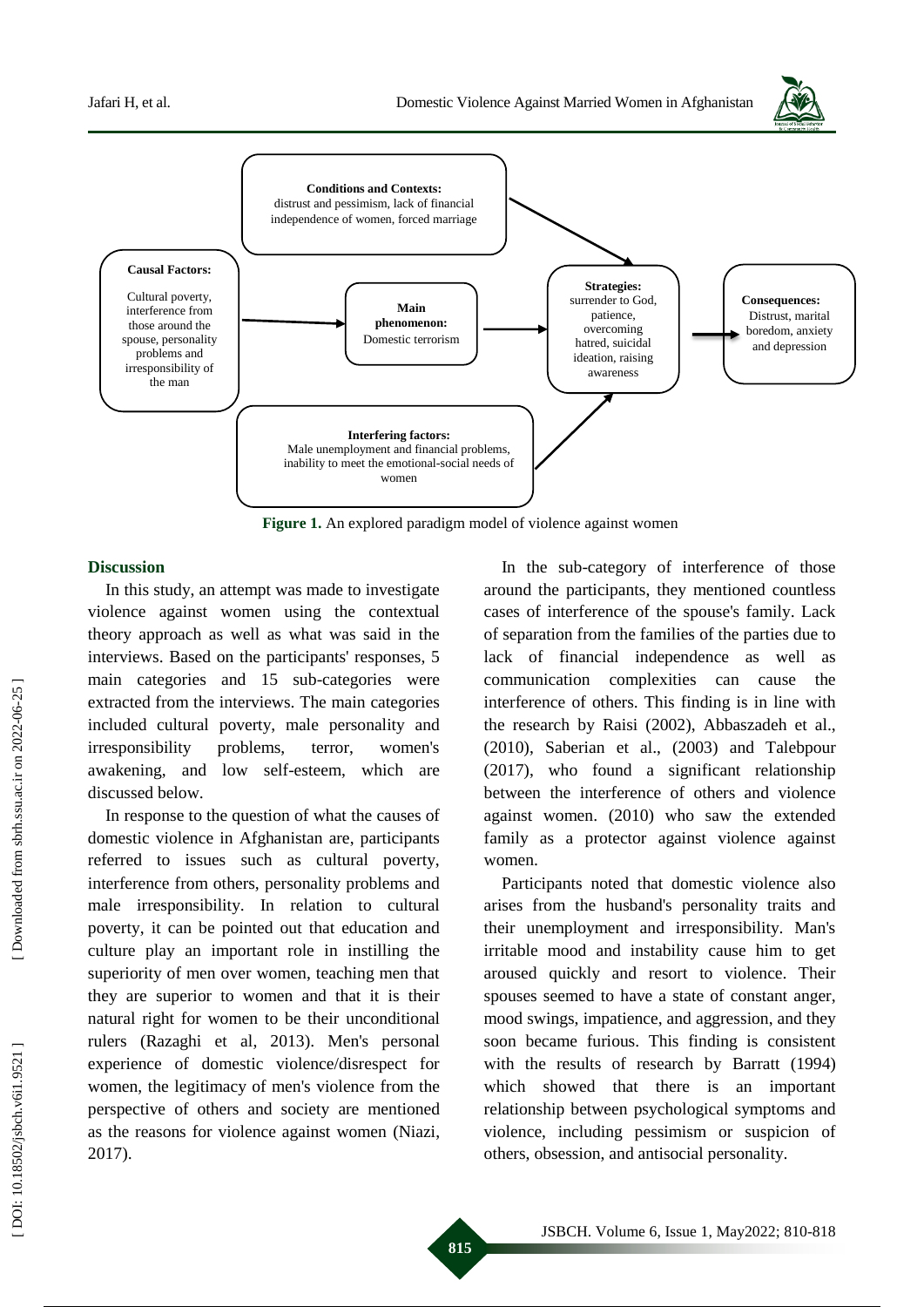



**Figure 1 .** An explored paradigm model of violence against women

### **Discussion**

In this study, an attempt was made to investigate violence against women using the contextual theory approach as well as what was said in the interviews. Based on the participants' responses, 5 main categories and 15 sub -categories were extracted from the interviews. The main categories included cultural poverty, male personality and irresponsibility problems, terror, women's awakening, and low self -esteem, which are discussed below.

In response to the question of what the causes of domestic violence in Afghanistan are, participants referred to issues such as cultural poverty, interference from others, personality problems and male irresponsibility. In relation to cultural poverty, it can be pointed out that education and culture play an important role in instilling the superiority of men over women, teaching men that they are superior to women and that it is their natural right for women to be their unconditional rulers ( Razaghi et al, 2013). Men's personal experience of domestic violence/disrespect for women, the legitimacy of men's violence from the perspective of others and society are mentioned as the reasons for violence against women (Niazi, 2017).

In the sub -category of interference of those around the participants, they mentioned countless cases of interference of the spouse's family. Lack of separation from the families of the parties due to lack of financial independence as well as communication complexities can cause the interference of others. This finding is in line with the research by Raisi (2002), Abbaszadeh et al., (2010), Saberian et al., (2003) and Tal ebpour (2017), who found a significant relationship between the interference of others and violence against women. (2010) who saw the extended family as a protector against violence against women.

Participants noted that domestic violence also arises from the husband's personality traits and their unemployment and irresponsibility. Man's irritable mood and instability cause him to get aroused quickly and resort to violence. Their spouses seemed to have a state of constant anger, mood swings, impatience, and aggression, and they soon became furious. This finding is consistent with the results of research by Barratt (1994) which showed that there is an important relationship between psychological symptoms and violence, including pessimism or suspicion of others, obsession, and antisocial personality.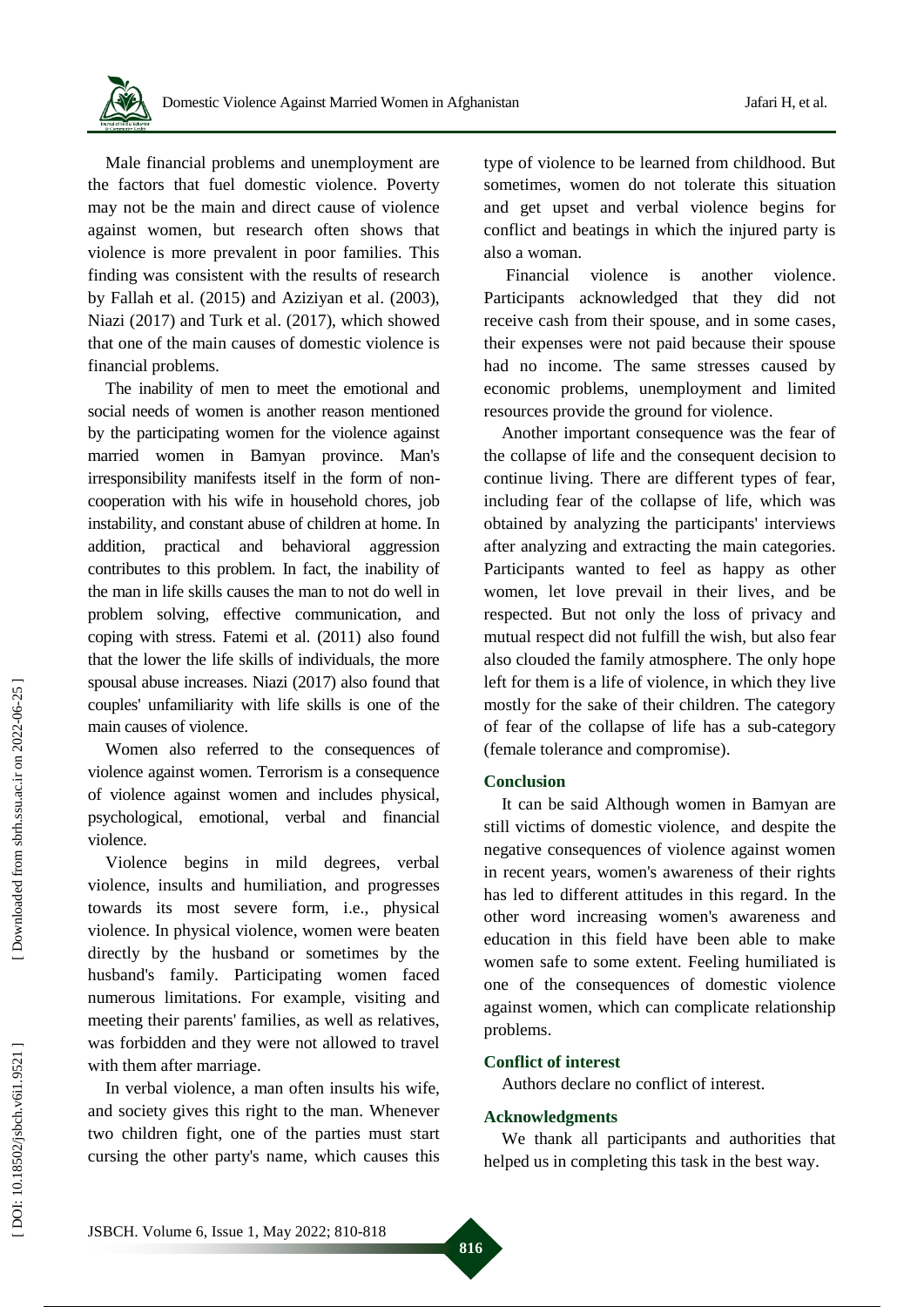Male financial problems and unemployment are the factors that fuel domestic violence. Poverty may not be the main and direct cause of violence against women, but research often shows that violence is more prevalent in poor families. This finding was consistent with the results of research by Fallah et al. (2015) and Aziziyan et al. (2003), Niazi (2017) and Turk et al . (2017), which showed that one of the main causes of domestic violence is financial problems.

The inability of men to meet the emotional and social needs of women is another reason mentioned by the participating women for the violence against married women in Bamyan province. Man's irresponsibility manifests itself in the form of non cooperation with his wife in household chores, job instability, and constant abuse of children at home. In addition, practical and behavioral aggression contributes to this problem. In fact, the inability of the man in life skills causes the man to not do well in problem solving, effective communication , and coping with stress. Fatemi et al. (2011) also found that the lower the life skills of individuals, the more spousal abuse increases. Niazi (2017) also found that couples' unfamiliarity with life skills is one of the main causes of violence.

Women also referred to the consequences of violence against women. Terrorism is a consequence of violence against women and includes physical, psychological, emotional, verbal and financial violence.

Violence begins in mild degrees, verbal violence, insults and humiliation, and progresses towards its most severe form, i.e., physical violence. In physical violence, women were beaten directly by the husband or sometimes by the husband's family. Participating women faced numerous limitations. For example, visiting and meeting their parents' families, as well as relatives, was forbidden and they were not allowed to travel with them after marriage.

In verbal violence, a man often insults his wife, and society gives this right to the man. Whenever two children fight, one of the parties must start cursing the other party's name, which causes this type of violence to be learned from childhood. But sometimes , women do not tolerate this situation and get upset and verbal violence begins for conflict and beatings in which the injured party is also a woman.

Financial violence is another violence. Participants acknowledged that they did not receive cash from their spouse, and in some cases , their expenses were not paid because their spouse had no income. The same stresses caused by economic problems, unemployment and limited resources provide the ground for violence.

Another important consequence was the fear of the collapse of life and the consequent decision to continue living. There are different types of fear, including fear of the collapse of life, which was obtained by analyzing the participants' interviews after analyzing and extracting the main categories. Participants wanted to feel as happy as other women , let love prevail in their lives , and be respected. But not only the loss of privacy and mutual respect did not fulfill the wish , but also fear also clouded the family atmosphere. The only hope left for them is a life of violence, in which they live mostly for the sake of their children. The category of fear of the collapse of life has a sub -category (female tolerance and compromise).

## **Conclusion**

It can be said Although women in Bamyan are still victims of domestic violence, and despite the negative consequences of violence against women in recent years, women's awareness of their rights has led to different attitudes in this regard. In the other word increasing women's awareness and education in this field have been able to make women safe to some extent. Feeling humiliated is one of the consequences of domestic violence against women, which can complicate relationship problems.

## **Conflict of interest**

Authors declare no conflict of interest.

## **Acknowledgments**

We thank all participants and authorities that helped us in completing this task in the best way.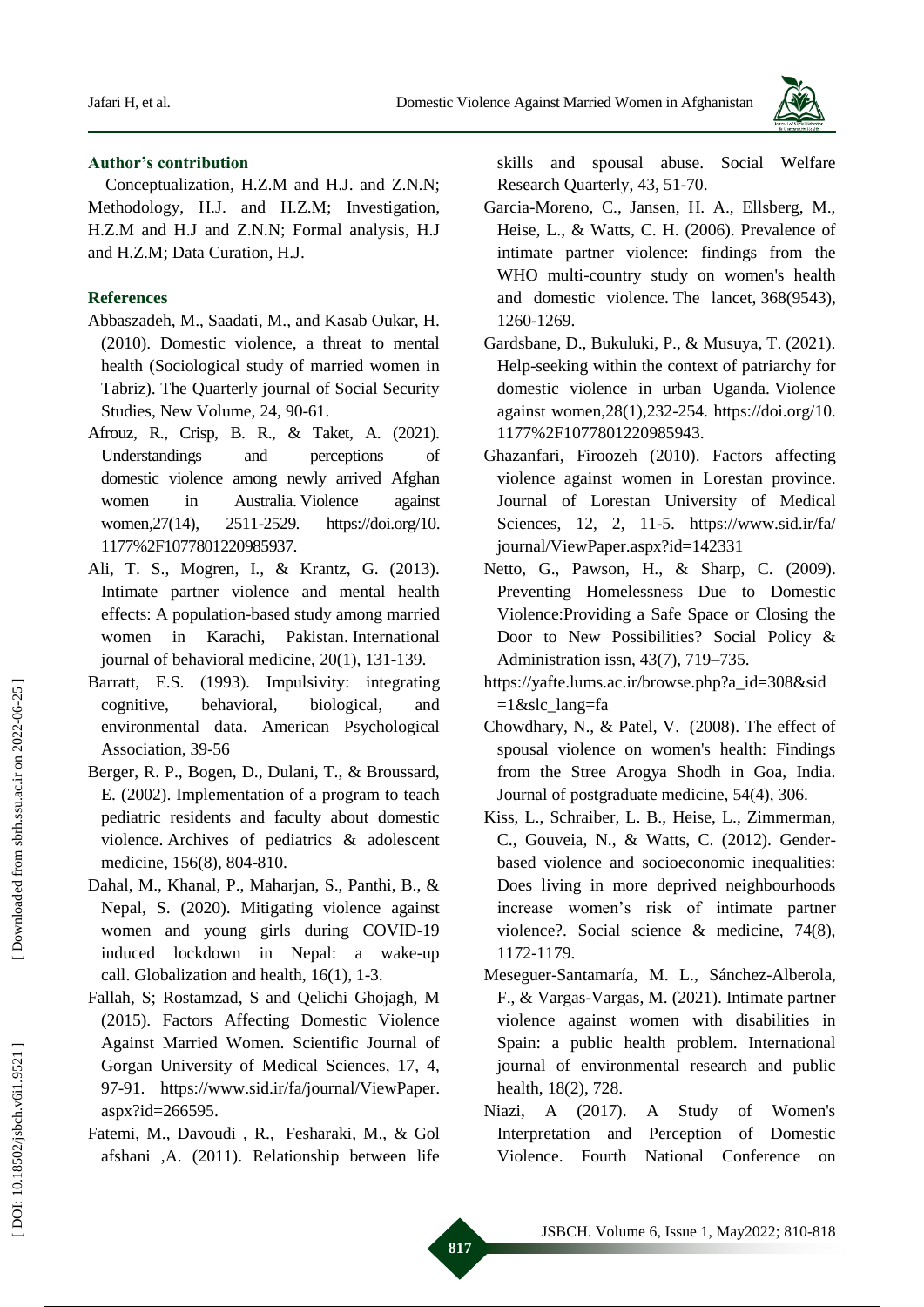

## **Author's contribution**

Conceptualization , H.Z.M and H . J. and Z.N.N; Methodology , H . J. and H.Z.M; Investigation, H.Z.M and H.J and Z.N.N; Formal analysis, H.J and H.Z.M; Data Curation , H.J.

## **References**

- Abbaszadeh, M., Saadati, M., and Kasab Oukar, H. (2010). Domestic violence, a threat to mental health (Sociological study of married women in Tabriz). The Quarterly journal of Social Security Studies, New Volume, 24, 90-61.
- Afrouz, R., Crisp, B. R., & Taket, A. (2021). Understandings and perceptions of domestic violence among newly arrived Afghan women in Australia. Violence against women, 27(14), 2511-2529. -2529. https://doi.org/10 . 1177%2F1077801220985937.
- Ali, T. S., Mogren, I., & Krantz, G. (2013). Intimate partner violence and mental health effects: A population -based study among married women in Karachi, Pakistan. International journal of behavioral medicine, 20(1), 131 -139.
- Barratt, E.S. (1993). Impulsivity: integrating cognitive, behavioral, biological, and environmental data. American Psychological Association, 39 -56
- Berger, R. P., Bogen, D., Dulani, T., & Broussard, E. (2002). Implementation of a program to teach pediatric residents and faculty about domestic violence. Archives of pediatrics & adolescent medicine, 156(8), 804 -810.
- Dahal, M., Khanal, P., Maharjan, S., Panthi, B., & Nepal, S. (2020). Mitigating violence against women and young girls during COVID -19 induced lockdown in Nepal: a wake -up call. Globalization and health, 16(1), 1 -3.
- Fallah, S; Rostamzad, S and Qelichi Ghojagh, M (2015). Factors Affecting Domestic Violence Against Married Women. Scientific Journal of Gorgan University of Medical Sciences, 17, 4, 97 -91. https://www.sid.ir/fa/journal/ViewPaper . aspx?id=266595 .
- Fatemi, M., Davoudi , R., Fesharaki, M., & Gol afshani ,A. (2011). Relationship between life

skills and spousal abuse. Social Welfare Research Quarterly, 43, 51 -70.

- Garcia -Moreno, C., Jansen, H. A., Ellsberg, M., Heise, L., & Watts, C. H. (2006). Prevalence of intimate partner violence: findings from the WHO multi -country study on women's health and domestic violence. The lancet, 368(9543), 1260 -1269.
- Gardsbane, D., Bukuluki, P., & Musuya, T. (2021). Help -seeking within the context of patriarchy for domestic violence in urban Uganda. Violence against women,28(1),232 -254. https://doi.org/10. 1177%2F1077801220985943.
- Ghazanfari, Firoozeh (2010). Factors affecting violence against women in Lorestan province. Journal of Lorestan University of Medical Sciences, 12, 2, 11 -5. https://www.sid.ir/fa/ journal/ViewPaper.aspx?id=142331
- Netto, G., Pawson, H., & Sharp, C. (2009). Preventing Homelessness Due to Domestic Violence:Providing a Safe Space or Closing the Door to New Possibilities? Social Policy & Administration issn, 43(7), 719 –735 .
- https://yafte.lums.ac.ir/browse.php?a\_id=308&sid =1&slc\_lang=fa
- Chowdhary, N., & Patel, V. (2008). The effect of spousal violence on women's health: Findings from the Stree Arogya Shodh in Goa, India. Journal of postgraduate medicine, 54(4), 306.
- Kiss, L., Schraiber, L. B., Heise, L., Zimmerman, C., Gouveia, N., & Watts, C. (2012). Gender based violence and socioeconomic inequalities: Does living in more deprived neighbourhoods increase women's risk of intimate partner violence?. Social science & medicine, 74(8), 1172 -1179.
- Meseguer -Santamaría, M. L., Sánchez -Alberola, F., & Vargas -Vargas, M. (2021). Intimate partner violence against women with disabilities in Spain: a public health problem. International journal of environmental research and public health, 18(2), 728.
- Niazi, A (2017). A Study of Women's Interpretation and Perception of Domestic Violence. Fourth National Conference on

 [\[ DOI: 10.18502/jsbch.v6i1.9521 \]](http://dx.doi.org/10.18502/jsbch.v6i1.9521) [\[ Downloaded from sbrh.ssu.ac.ir on 2022-](http://sbrh.ssu.ac.ir/article-1-183-en.html)06-25 ] Downloaded from sbrh.ssu.ac.ir on 2022-06-25